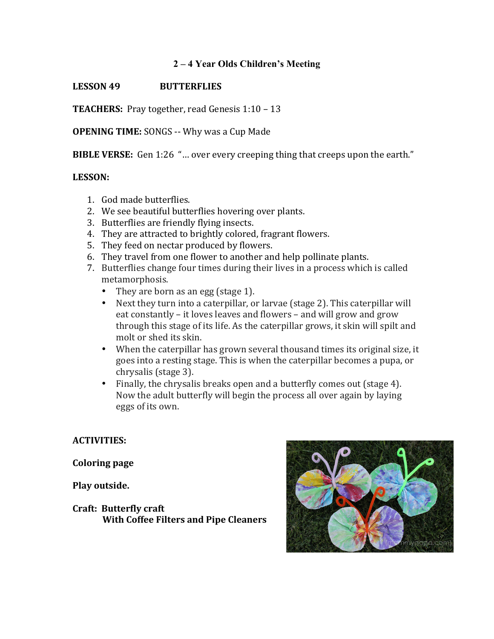## **2 – 4 Year Olds Children's Meeting**

## **LESSON 49 BUTTERFLIES**

**TEACHERS:** Pray together, read Genesis 1:10 – 13

**OPENING TIME:** SONGS -- Why was a Cup Made

**BIBLE VERSE:** Gen 1:26 "... over every creeping thing that creeps upon the earth."

## **LESSON:**

- 1. God made butterflies.
- 2. We see beautiful butterflies hovering over plants.
- 3. Butterflies are friendly flying insects.
- 4. They are attracted to brightly colored, fragrant flowers.
- 5. They feed on nectar produced by flowers.
- 6. They travel from one flower to another and help pollinate plants.
- 7. Butterflies change four times during their lives in a process which is called metamorphosis.
	- They are born as an egg (stage 1).<br>• Next they turn into a caterpillar, or
	- Next they turn into a caterpillar, or larvae (stage 2). This caterpillar will eat constantly – it loves leaves and flowers – and will grow and grow through this stage of its life. As the caterpillar grows, it skin will spilt and molt or shed its skin.
	- When the caterpillar has grown several thousand times its original size, it goes into a resting stage. This is when the caterpillar becomes a pupa, or chrysalis (stage 3).
	- Finally, the chrysalis breaks open and a butterfly comes out (stage 4). Now the adult butterfly will begin the process all over again by laying eggs of its own.

**ACTIVITIES:**

**Coloring page**

**Play outside.**

**Craft: Butterfly craft With Coffee Filters and Pipe Cleaners**